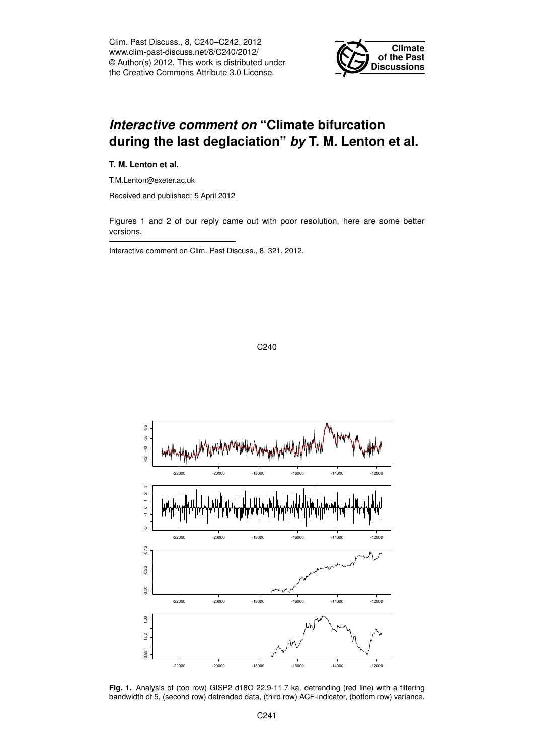Clim. Past Discuss., 8, C240–C242, 2012 www.clim-past-discuss.net/8/C240/2012/ © Author(s) 2012. This work is distributed under the Creative Commons Attribute 3.0 License.



## *Interactive comment on* **"Climate bifurcation during the last deglaciation"** *by* **T. M. Lenton et al.**

**T. M. Lenton et al.**

T.M.Lenton@exeter.ac.uk

Received and published: 5 April 2012

Figures 1 and 2 of our reply came out with poor resolution, here are some better versions.

Interactive comment on Clim. Past Discuss., 8, 321, 2012.



**Fig. 1.** Analysis of (top row) GISP2 d18O 22.9-11.7 ka, detrending (red line) with a filtering bandwidth of 5, (second row) detrended data, (third row) ACF-indicator, (bottom row) variance.

C240